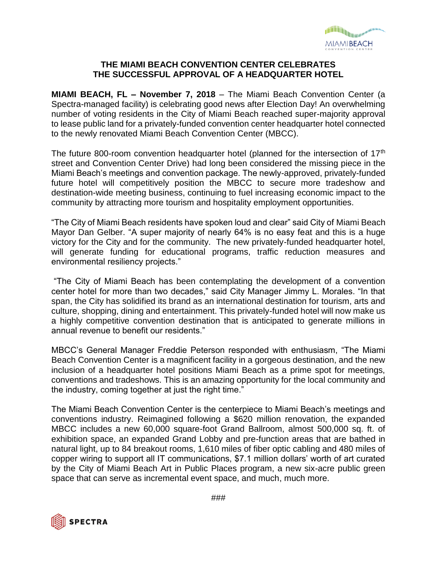

## **THE MIAMI BEACH CONVENTION CENTER CELEBRATES THE SUCCESSFUL APPROVAL OF A HEADQUARTER HOTEL**

**MIAMI BEACH, FL – November 7, 2018** – The Miami Beach Convention Center (a Spectra-managed facility) is celebrating good news after Election Day! An overwhelming number of voting residents in the City of Miami Beach reached super-majority approval to lease public land for a privately-funded convention center headquarter hotel connected to the newly renovated Miami Beach Convention Center (MBCC).

The future 800-room convention headquarter hotel (planned for the intersection of 17<sup>th</sup> street and Convention Center Drive) had long been considered the missing piece in the Miami Beach's meetings and convention package. The newly-approved, privately-funded future hotel will competitively position the MBCC to secure more tradeshow and destination-wide meeting business, continuing to fuel increasing economic impact to the community by attracting more tourism and hospitality employment opportunities.

"The City of Miami Beach residents have spoken loud and clear" said City of Miami Beach Mayor Dan Gelber. "A super majority of nearly 64% is no easy feat and this is a huge victory for the City and for the community. The new privately-funded headquarter hotel, will generate funding for educational programs, traffic reduction measures and environmental resiliency projects."

"The City of Miami Beach has been contemplating the development of a convention center hotel for more than two decades," said City Manager Jimmy L. Morales. "In that span, the City has solidified its brand as an international destination for tourism, arts and culture, shopping, dining and entertainment. This privately-funded hotel will now make us a highly competitive convention destination that is anticipated to generate millions in annual revenue to benefit our residents."

MBCC's General Manager Freddie Peterson responded with enthusiasm, "The Miami Beach Convention Center is a magnificent facility in a gorgeous destination, and the new inclusion of a headquarter hotel positions Miami Beach as a prime spot for meetings, conventions and tradeshows. This is an amazing opportunity for the local community and the industry, coming together at just the right time."

The Miami Beach Convention Center is the centerpiece to Miami Beach's meetings and conventions industry. Reimagined following a \$620 million renovation, the expanded MBCC includes a new 60,000 square-foot Grand Ballroom, almost 500,000 sq. ft. of exhibition space, an expanded Grand Lobby and pre-function areas that are bathed in natural light, up to 84 breakout rooms, 1,610 miles of fiber optic cabling and 480 miles of copper wiring to support all IT communications, \$7.1 million dollars' worth of art curated by the City of Miami Beach Art in Public Places program, a new six-acre public green space that can serve as incremental event space, and much, much more.